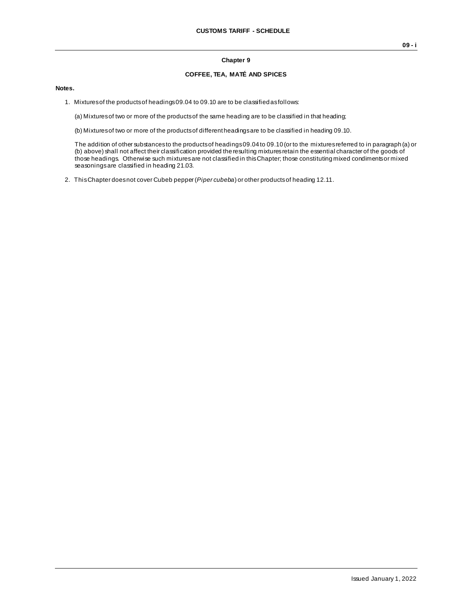## **Chapter 9**

## **COFFEE, TEA, MATÉ AND SPICES**

## **Notes.**

1. Mixtures of the products of headings 09.04 to 09.10 are to be classified as follows:

(a) Mixtures of two or more of the products of the same heading are to be classified in that heading;

(b) Mixtures of two or more of the products of different headings are to be classified in heading 09.10.

The addition of other substances to the products of headings 09.04 to 09.10 (or to the mixtures referred to in paragraph (a) or (b) above) shall not affect their classification provided the resulting mixtures retain the essential character of the goods of those headings. Otherwise such mixtures are not classified in this Chapter; those constituting mixed condiments or mixed seasonings are classified in heading 21.03.

2. This Chapter does not cover Cubeb pepper (*Piper cubeba*) or other products of heading 12.11.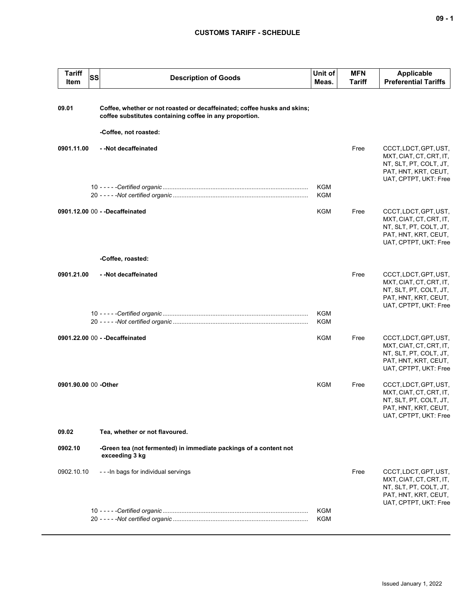## **CUSTOMS TARIFF - SCHEDULE**

| <b>Tariff</b><br>Item | SS | <b>Description of Goods</b>                                                                                                         | Unit of<br>Meas.         | <b>MFN</b><br><b>Tariff</b> | <b>Applicable</b><br><b>Preferential Tariffs</b>                                                                            |
|-----------------------|----|-------------------------------------------------------------------------------------------------------------------------------------|--------------------------|-----------------------------|-----------------------------------------------------------------------------------------------------------------------------|
| 09.01                 |    | Coffee, whether or not roasted or decaffeinated; coffee husks and skins;<br>coffee substitutes containing coffee in any proportion. |                          |                             |                                                                                                                             |
|                       |    | -Coffee, not roasted:                                                                                                               |                          |                             |                                                                                                                             |
| 0901.11.00            |    | --Not decaffeinated                                                                                                                 |                          | Free                        | CCCT, LDCT, GPT, UST,<br>MXT, CIAT, CT, CRT, IT,<br>NT, SLT, PT, COLT, JT,<br>PAT, HNT, KRT, CEUT,<br>UAT, CPTPT, UKT: Free |
|                       |    |                                                                                                                                     | <b>KGM</b><br><b>KGM</b> |                             |                                                                                                                             |
|                       |    | 0901.12.00 00 - - Decaffeinated                                                                                                     | KGM                      | Free                        | CCCT, LDCT, GPT, UST,<br>MXT, CIAT, CT, CRT, IT,<br>NT, SLT, PT, COLT, JT,<br>PAT, HNT, KRT, CEUT,<br>UAT, CPTPT, UKT: Free |
|                       |    | -Coffee, roasted:                                                                                                                   |                          |                             |                                                                                                                             |
| 0901.21.00            |    | --Not decaffeinated                                                                                                                 |                          | Free                        | CCCT, LDCT, GPT, UST,<br>MXT, CIAT, CT, CRT, IT,<br>NT, SLT, PT, COLT, JT,<br>PAT, HNT, KRT, CEUT,<br>UAT, CPTPT, UKT: Free |
|                       |    |                                                                                                                                     | KGM<br><b>KGM</b>        |                             |                                                                                                                             |
|                       |    | 0901.22.00 00 - - Decaffeinated                                                                                                     | <b>KGM</b>               | Free                        | CCCT, LDCT, GPT, UST,<br>MXT, CIAT, CT, CRT, IT,<br>NT, SLT, PT, COLT, JT,<br>PAT, HNT, KRT, CEUT,<br>UAT, CPTPT, UKT: Free |
| 0901.90.00 00 -Other  |    |                                                                                                                                     | <b>KGM</b>               | Free                        | CCCT, LDCT, GPT, UST,<br>MXT, CIAT, CT, CRT, IT,<br>NT, SLT, PT, COLT, JT,<br>PAT, HNT, KRT, CEUT,<br>UAT, CPTPT, UKT: Free |
| 09.02                 |    | Tea, whether or not flavoured.                                                                                                      |                          |                             |                                                                                                                             |
| 0902.10               |    | -Green tea (not fermented) in immediate packings of a content not<br>exceeding 3 kg                                                 |                          |                             |                                                                                                                             |
| 0902.10.10            |    | - - - In bags for individual servings                                                                                               |                          | Free                        | CCCT, LDCT, GPT, UST,<br>MXT, CIAT, CT, CRT, IT,<br>NT, SLT, PT, COLT, JT,<br>PAT, HNT, KRT, CEUT,<br>UAT, CPTPT, UKT: Free |
|                       |    |                                                                                                                                     | <b>KGM</b>               |                             |                                                                                                                             |
|                       |    |                                                                                                                                     | <b>KGM</b>               |                             |                                                                                                                             |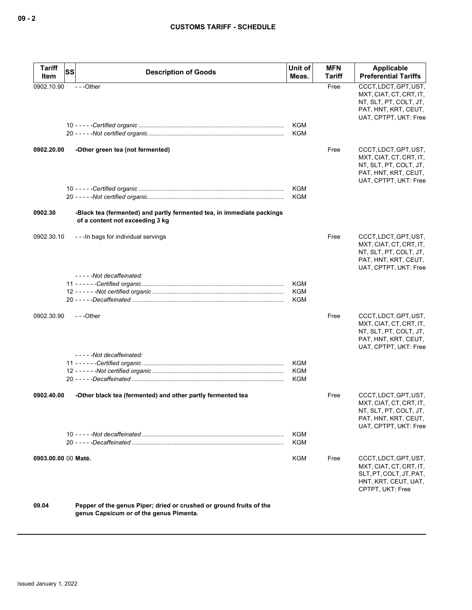| Tariff<br>Item      | SS<br><b>Description of Goods</b>                                                                              | Unit of<br>Meas.         | <b>MFN</b><br><b>Tariff</b> | Applicable<br><b>Preferential Tariffs</b>                                                                                   |
|---------------------|----------------------------------------------------------------------------------------------------------------|--------------------------|-----------------------------|-----------------------------------------------------------------------------------------------------------------------------|
| 0902.10.90          | $- -$ Other                                                                                                    |                          | Free                        | CCCT, LDCT, GPT, UST,<br>MXT, CIAT, CT, CRT, IT,<br>NT, SLT, PT, COLT, JT,<br>PAT, HNT, KRT, CEUT,<br>UAT, CPTPT, UKT: Free |
|                     |                                                                                                                | KGM<br><b>KGM</b>        |                             |                                                                                                                             |
| 0902.20.00          | -Other green tea (not fermented)                                                                               |                          | Free                        | CCCT, LDCT, GPT, UST,<br>MXT, CIAT, CT, CRT, IT,<br>NT, SLT, PT, COLT, JT,<br>PAT, HNT, KRT, CEUT,<br>UAT, CPTPT, UKT: Free |
|                     |                                                                                                                | <b>KGM</b>               |                             |                                                                                                                             |
|                     |                                                                                                                | <b>KGM</b>               |                             |                                                                                                                             |
| 0902.30             | -Black tea (fermented) and partly fermented tea, in immediate packings<br>of a content not exceeding 3 kg      |                          |                             |                                                                                                                             |
| 0902.30.10          | - - - In bags for individual servings                                                                          |                          | Free                        | CCCT, LDCT, GPT, UST,<br>MXT, CIAT, CT, CRT, IT,<br>NT, SLT, PT, COLT, JT,<br>PAT, HNT, KRT, CEUT,<br>UAT, CPTPT, UKT: Free |
|                     | -----Not decaffeinated:                                                                                        |                          |                             |                                                                                                                             |
|                     |                                                                                                                | KGM                      |                             |                                                                                                                             |
|                     |                                                                                                                | KGM<br>KGM               |                             |                                                                                                                             |
| 0902.30.90          | ---Other                                                                                                       |                          | Free                        | CCCT, LDCT, GPT, UST,<br>MXT, CIAT, CT, CRT, IT,<br>NT, SLT, PT, COLT, JT,<br>PAT, HNT, KRT, CEUT,<br>UAT, CPTPT, UKT: Free |
|                     | -----Not decaffeinated:                                                                                        |                          |                             |                                                                                                                             |
|                     |                                                                                                                | KGM<br><b>KGM</b>        |                             |                                                                                                                             |
|                     |                                                                                                                | <b>KGM</b>               |                             |                                                                                                                             |
| 0902.40.00          | -Other black tea (fermented) and other partly fermented tea                                                    |                          | Free                        | CCCT, LDCT, GPT, UST,<br>MXT, CIAT, CT, CRT, IT,<br>NT, SLT, PT, COLT, JT,<br>PAT, HNT, KRT, CEUT,<br>UAT, CPTPT, UKT: Free |
|                     |                                                                                                                | <b>KGM</b><br><b>KGM</b> |                             |                                                                                                                             |
| 0903.00.00 00 Maté. |                                                                                                                | KGM                      | Free                        | CCCT, LDCT, GPT, UST,<br>MXT, CIAT, CT, CRT, IT,<br>SLT.PT.COLT.JT.PAT.<br>HNT, KRT, CEUT, UAT,<br>CPTPT, UKT: Free         |
| 09.04               | Pepper of the genus Piper; dried or crushed or ground fruits of the<br>genus Capsicum or of the genus Pimenta. |                          |                             |                                                                                                                             |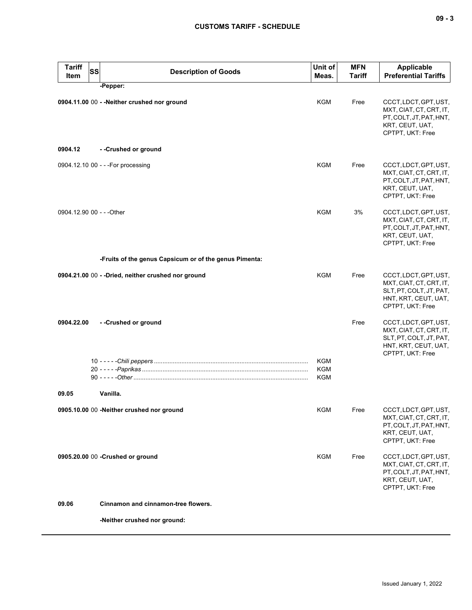| <b>Tariff</b><br><b>SS</b><br>Item | <b>Description of Goods</b>                            | Unit of<br>Meas.  | MFN<br><b>Tariff</b> | Applicable<br><b>Preferential Tariffs</b>                                                                               |
|------------------------------------|--------------------------------------------------------|-------------------|----------------------|-------------------------------------------------------------------------------------------------------------------------|
|                                    | -Pepper:                                               |                   |                      |                                                                                                                         |
|                                    | 0904.11.00 00 - - Neither crushed nor ground           | <b>KGM</b>        | Free                 | CCCT, LDCT, GPT, UST,<br>MXT, CIAT, CT, CRT, IT,<br>PT, COLT, JT, PAT, HNT,<br>KRT, CEUT, UAT,<br>CPTPT, UKT: Free      |
| 0904.12                            | --Crushed or ground                                    |                   |                      |                                                                                                                         |
|                                    | 0904.12.10 00 - - - For processing                     | KGM               | Free                 | CCCT, LDCT, GPT, UST,<br>MXT, CIAT, CT, CRT, IT,<br>PT, COLT, JT, PAT, HNT,<br>KRT, CEUT, UAT,<br>CPTPT, UKT: Free      |
| 0904.12.90 00 - - - Other          |                                                        | KGM               | 3%                   | CCCT, LDCT, GPT, UST,<br>MXT, CIAT, CT, CRT, IT,<br>PT, COLT, JT, PAT, HNT,<br>KRT, CEUT, UAT,<br>CPTPT, UKT: Free      |
|                                    | -Fruits of the genus Capsicum or of the genus Pimenta: |                   |                      |                                                                                                                         |
|                                    | 0904.21.00 00 - - Dried, neither crushed nor ground    | <b>KGM</b>        | Free                 | CCCT, LDCT, GPT, UST,<br>MXT, CIAT, CT, CRT, IT,<br>SLT, PT, COLT, JT, PAT,<br>HNT, KRT, CEUT, UAT,<br>CPTPT, UKT: Free |
| 0904.22.00                         | --Crushed or ground                                    |                   | Free                 | CCCT, LDCT, GPT, UST,<br>MXT, CIAT, CT, CRT, IT,<br>SLT, PT, COLT, JT, PAT,<br>HNT, KRT, CEUT, UAT,<br>CPTPT, UKT: Free |
|                                    |                                                        | KGM               |                      |                                                                                                                         |
|                                    |                                                        | <b>KGM</b><br>KGM |                      |                                                                                                                         |
| 09.05                              | Vanilla.                                               |                   |                      |                                                                                                                         |
|                                    | 0905.10.00 00 -Neither crushed nor ground              | <b>KGM</b>        | Free                 | CCCT, LDCT, GPT, UST,<br>MXT, CIAT, CT, CRT, IT,<br>PT, COLT, JT, PAT, HNT,<br>KRT, CEUT, UAT,<br>CPTPT, UKT: Free      |
|                                    | 0905.20.00 00 -Crushed or ground                       | KGM               | Free                 | CCCT, LDCT, GPT, UST,<br>MXT, CIAT, CT, CRT, IT,<br>PT, COLT, JT, PAT, HNT,<br>KRT, CEUT, UAT,<br>CPTPT, UKT: Free      |
| 09.06                              | Cinnamon and cinnamon-tree flowers.                    |                   |                      |                                                                                                                         |
|                                    | -Neither crushed nor ground:                           |                   |                      |                                                                                                                         |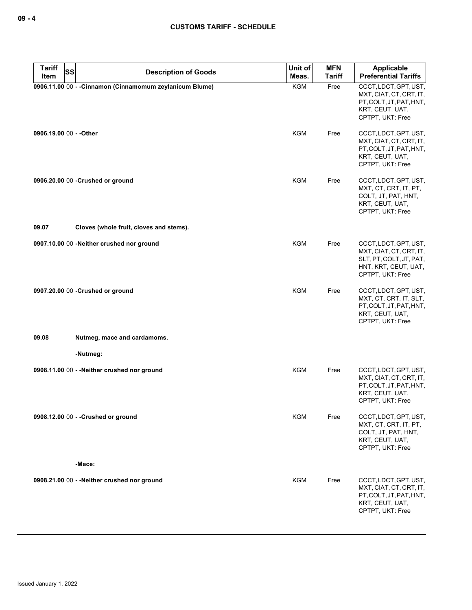| <b>Tariff</b><br><b>SS</b> | <b>Description of Goods</b>                              | Unit of             | <b>MFN</b>            | <b>Applicable</b><br><b>Preferential Tariffs</b>                                                                        |
|----------------------------|----------------------------------------------------------|---------------------|-----------------------|-------------------------------------------------------------------------------------------------------------------------|
| Item                       | 0906.11.00 00 - - Cinnamon (Cinnamomum zeylanicum Blume) | Meas.<br><b>KGM</b> | <b>Tariff</b><br>Free | CCCT, LDCT, GPT, UST,<br>MXT, CIAT, CT, CRT, IT,<br>PT.COLT.JT.PAT.HNT.<br>KRT, CEUT, UAT,<br>CPTPT, UKT: Free          |
| 0906.19.00 00 - - Other    |                                                          | KGM                 | Free                  | CCCT, LDCT, GPT, UST,<br>MXT, CIAT, CT, CRT, IT,<br>PT, COLT, JT, PAT, HNT,<br>KRT, CEUT, UAT,<br>CPTPT, UKT: Free      |
|                            | 0906.20.00 00 - Crushed or ground                        | KGM                 | Free                  | CCCT, LDCT, GPT, UST,<br>MXT, CT, CRT, IT, PT,<br>COLT, JT, PAT, HNT,<br>KRT, CEUT, UAT,<br>CPTPT, UKT: Free            |
| 09.07                      | Cloves (whole fruit, cloves and stems).                  |                     |                       |                                                                                                                         |
|                            | 0907.10.00 00 -Neither crushed nor ground                | <b>KGM</b>          | Free                  | CCCT, LDCT, GPT, UST,<br>MXT, CIAT, CT, CRT, IT,<br>SLT, PT, COLT, JT, PAT,<br>HNT, KRT, CEUT, UAT,<br>CPTPT, UKT: Free |
|                            | 0907.20.00 00 -Crushed or ground                         | <b>KGM</b>          | Free                  | CCCT, LDCT, GPT, UST,<br>MXT, CT, CRT, IT, SLT,<br>PT, COLT, JT, PAT, HNT,<br>KRT, CEUT, UAT,<br>CPTPT, UKT: Free       |
| 09.08                      | Nutmeg, mace and cardamoms.                              |                     |                       |                                                                                                                         |
|                            | -Nutmeg:                                                 |                     |                       |                                                                                                                         |
|                            | 0908.11.00 00 - - Neither crushed nor ground             | KGM                 | Free                  | CCCT, LDCT, GPT, UST,<br>MXT, CIAT, CT, CRT, IT,<br>PT, COLT, JT, PAT, HNT,<br>KRT, CEUT, UAT,<br>CPTPT, UKT: Free      |
|                            | 0908.12.00 00 - - Crushed or ground                      | <b>KGM</b>          | Free                  | CCCT, LDCT, GPT, UST,<br>MXT, CT, CRT, IT, PT,<br>COLT, JT, PAT, HNT,<br>KRT, CEUT, UAT,<br>CPTPT, UKT: Free            |
|                            | -Mace:                                                   |                     |                       |                                                                                                                         |
|                            | 0908.21.00 00 - - Neither crushed nor ground             | <b>KGM</b>          | Free                  | CCCT, LDCT, GPT, UST,<br>MXT, CIAT, CT, CRT, IT,<br>PT, COLT, JT, PAT, HNT,<br>KRT, CEUT, UAT,<br>CPTPT, UKT: Free      |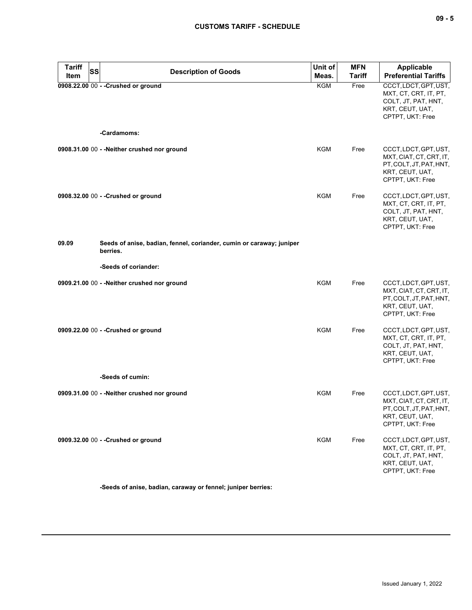| <b>Tariff</b><br><b>SS</b><br>Item | <b>Description of Goods</b>                                                      | Unit of<br>Meas. | <b>MFN</b><br><b>Tariff</b> | <b>Applicable</b><br><b>Preferential Tariffs</b>                                                                   |
|------------------------------------|----------------------------------------------------------------------------------|------------------|-----------------------------|--------------------------------------------------------------------------------------------------------------------|
|                                    | 0908.22.00 00 - - Crushed or ground<br>-Cardamoms:                               | KGM              | Free                        | CCCT, LDCT, GPT, UST,<br>MXT, CT, CRT, IT, PT,<br>COLT, JT, PAT, HNT,<br>KRT, CEUT, UAT,<br>CPTPT, UKT: Free       |
|                                    | 0908.31.00 00 - - Neither crushed nor ground                                     | <b>KGM</b>       | Free                        | CCCT, LDCT, GPT, UST,                                                                                              |
|                                    |                                                                                  |                  |                             | MXT, CIAT, CT, CRT, IT,<br>PT, COLT, JT, PAT, HNT,<br>KRT, CEUT, UAT,<br>CPTPT, UKT: Free                          |
|                                    | 0908.32.00 00 - - Crushed or ground                                              | KGM              | Free                        | CCCT, LDCT, GPT, UST,<br>MXT, CT, CRT, IT, PT,<br>COLT, JT, PAT, HNT,<br>KRT, CEUT, UAT,<br>CPTPT, UKT: Free       |
| 09.09                              | Seeds of anise, badian, fennel, coriander, cumin or caraway; juniper<br>berries. |                  |                             |                                                                                                                    |
|                                    | -Seeds of coriander:                                                             |                  |                             |                                                                                                                    |
|                                    | 0909.21.00 00 - - Neither crushed nor ground                                     | <b>KGM</b>       | Free                        | CCCT, LDCT, GPT, UST,<br>MXT, CIAT, CT, CRT, IT,<br>PT, COLT, JT, PAT, HNT,<br>KRT, CEUT, UAT,<br>CPTPT, UKT: Free |
|                                    | 0909.22.00 00 - - Crushed or ground                                              | <b>KGM</b>       | Free                        | CCCT, LDCT, GPT, UST,<br>MXT, CT, CRT, IT, PT,<br>COLT, JT, PAT, HNT,<br>KRT, CEUT, UAT,<br>CPTPT, UKT: Free       |
|                                    | -Seeds of cumin:                                                                 |                  |                             |                                                                                                                    |
|                                    | 0909.31.00 00 - - Neither crushed nor ground                                     | <b>KGM</b>       | Free                        | CCCT, LDCT, GPT, UST,<br>MXT, CIAT, CT, CRT, IT,<br>PT, COLT, JT, PAT, HNT,<br>KRT, CEUT, UAT,<br>CPTPT, UKT: Free |
|                                    | 0909.32.00 00 - - Crushed or ground                                              | <b>KGM</b>       | Free                        | CCCT, LDCT, GPT, UST,<br>MXT, CT, CRT, IT, PT,<br>COLT, JT, PAT, HNT,<br>KRT, CEUT, UAT,<br>CPTPT, UKT: Free       |

**-Seeds of anise, badian, caraway or fennel; juniper berries:**